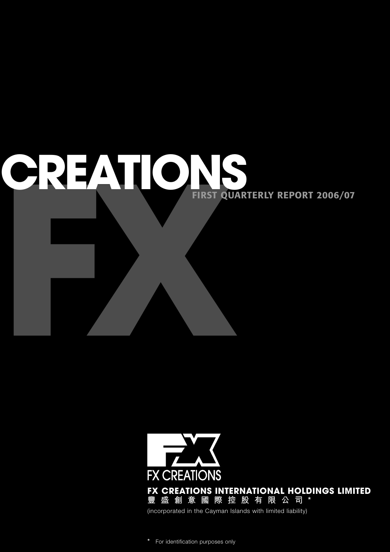# **FREATION FIRST QUARTERLY REPORT 2006/07**



**\*** For identification purposes only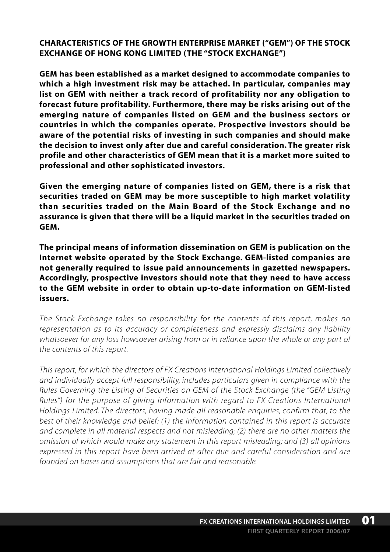**CHARACTERISTICS OF THE GROWTH ENTERPRISE MARKET ("GEM") OF THE STOCK EXCHANGE OF HONG KONG LIMITED (THE "STOCK EXCHANGE")**

**GEM has been established as a market designed to accommodate companies to which a high investment risk may be attached. In particular, companies may list on GEM with neither a track record of profitability nor any obligation to forecast future profitability. Furthermore, there may be risks arising out of the emerging nature of companies listed on GEM and the business sectors or countries in which the companies operate. Prospective investors should be aware of the potential risks of investing in such companies and should make the decision to invest only after due and careful consideration. The greater risk profile and other characteristics of GEM mean that it is a market more suited to professional and other sophisticated investors.**

**Given the emerging nature of companies listed on GEM, there is a risk that securities traded on GEM may be more susceptible to high market volatility than securities traded on the Main Board of the Stock Exchange and no assurance is given that there will be a liquid market in the securities traded on GEM.**

**The principal means of information dissemination on GEM is publication on the Internet website operated by the Stock Exchange. GEM-listed companies are not generally required to issue paid announcements in gazetted newspapers. Accordingly, prospective investors should note that they need to have access to the GEM website in order to obtain up-to-date information on GEM-listed issuers.**

*The Stock Exchange takes no responsibility for the contents of this report, makes no representation as to its accuracy or completeness and expressly disclaims any liability whatsoever for any loss howsoever arising from or in reliance upon the whole or any part of the contents of this report.*

*This report, for which the directors of FX Creations International Holdings Limited collectively and individually accept full responsibility, includes particulars given in compliance with the Rules Governing the Listing of Securities on GEM of the Stock Exchange (the "GEM Listing Rules") for the purpose of giving information with regard to FX Creations International Holdings Limited. The directors, having made all reasonable enquiries, confirm that, to the best of their knowledge and belief: (1) the information contained in this report is accurate and complete in all material respects and not misleading; (2) there are no other matters the omission of which would make any statement in this report misleading; and (3) all opinions expressed in this report have been arrived at after due and careful consideration and are founded on bases and assumptions that are fair and reasonable.*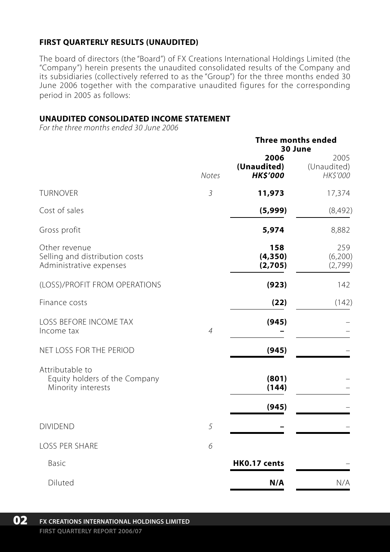# **FIRST QUARTERLY RESULTS (UNAUDITED)**

The board of directors (the "Board") of FX Creations International Holdings Limited (the "Company") herein presents the unaudited consolidated results of the Company and its subsidiaries (collectively referred to as the "Group") for the three months ended 30 June 2006 together with the comparative unaudited figures for the corresponding period in 2005 as follows:

#### **UNAUDITED CONSOLIDATED INCOME STATEMENT**

*For the three months ended 30 June 2006*

| 2006<br>(Unaudited)<br><b>HK\$'000</b><br>11,973<br>(5,999)<br>5,974 | 2005<br>(Unaudited)<br>HK\$'000<br>17,374<br>(8,492) |
|----------------------------------------------------------------------|------------------------------------------------------|
|                                                                      |                                                      |
|                                                                      |                                                      |
|                                                                      |                                                      |
|                                                                      | 8,882                                                |
| 158<br>(4, 350)<br>(2,705)                                           | 259<br>(6,200)<br>(2,799)                            |
| (923)                                                                | 142                                                  |
| (22)                                                                 | (142)                                                |
| (945)                                                                |                                                      |
| (945)                                                                |                                                      |
| (801)<br>(144)                                                       |                                                      |
| (945)                                                                |                                                      |
|                                                                      |                                                      |
|                                                                      |                                                      |
| HK0.17 cents                                                         |                                                      |
| N/A                                                                  | N/A                                                  |
|                                                                      |                                                      |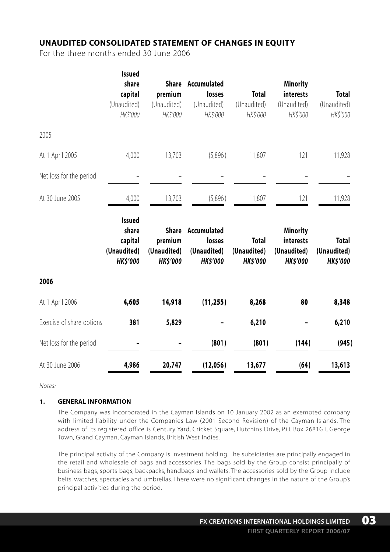## **UNAUDITED CONSOLIDATED STATEMENT OF CHANGES IN EQUITY**

For the three months ended 30 June 2006

|                           | Issued<br>share<br>capital<br>(Unaudited)<br>HK\$'000               | premium<br>(Unaudited)<br>HK\$'000                        | Share Accumulated<br>losses<br>(Unaudited)<br>HK\$'000  | <b>Total</b><br>(Unaudited)<br>HK\$'000        | <b>Minority</b><br><b>interests</b><br>(Unaudited)<br>HK\$'000        | <b>Total</b><br>(Unaudited)<br>HK\$'000        |
|---------------------------|---------------------------------------------------------------------|-----------------------------------------------------------|---------------------------------------------------------|------------------------------------------------|-----------------------------------------------------------------------|------------------------------------------------|
| 2005                      |                                                                     |                                                           |                                                         |                                                |                                                                       |                                                |
| At 1 April 2005           | 4,000                                                               | 13,703                                                    | (5,896)                                                 | 11,807                                         | 121                                                                   | 11,928                                         |
| Net loss for the period   |                                                                     |                                                           |                                                         |                                                |                                                                       |                                                |
| At 30 June 2005           | 4,000                                                               | 13,703                                                    | (5,896)                                                 | 11,807                                         | 121                                                                   | 11,928                                         |
|                           | <b>Issued</b><br>share<br>capital<br>(Unaudited)<br><b>HK\$'000</b> | <b>Share</b><br>premium<br>(Unaudited)<br><b>HK\$'000</b> | Accumulated<br>losses<br>(Unaudited)<br><b>HK\$'000</b> | <b>Total</b><br>(Unaudited)<br><b>HK\$'000</b> | <b>Minority</b><br><b>interests</b><br>(Unaudited)<br><b>HK\$'000</b> | <b>Total</b><br>(Unaudited)<br><b>HK\$'000</b> |
| 2006                      |                                                                     |                                                           |                                                         |                                                |                                                                       |                                                |
| At 1 April 2006           | 4,605                                                               | 14,918                                                    | (11, 255)                                               | 8,268                                          | 80                                                                    | 8,348                                          |
| Exercise of share options | 381                                                                 | 5,829                                                     |                                                         | 6,210                                          |                                                                       | 6,210                                          |
| Net loss for the period   |                                                                     |                                                           | (801)                                                   | (801)                                          | (144)                                                                 | (945)                                          |
| At 30 June 2006           | 4,986                                                               | 20,747                                                    | (12,056)                                                | 13,677                                         | (64)                                                                  | 13,613                                         |

*Notes:*

#### **1. GENERAL INFORMATION**

The Company was incorporated in the Cayman Islands on 10 January 2002 as an exempted company with limited liability under the Companies Law (2001 Second Revision) of the Cayman Islands. The address of its registered office is Century Yard, Cricket Square, Hutchins Drive, P.O. Box 2681GT, George Town, Grand Cayman, Cayman Islands, British West Indies.

The principal activity of the Company is investment holding. The subsidiaries are principally engaged in the retail and wholesale of bags and accessories. The bags sold by the Group consist principally of business bags, sports bags, backpacks, handbags and wallets. The accessories sold by the Group include belts, watches, spectacles and umbrellas. There were no significant changes in the nature of the Group's principal activities during the period.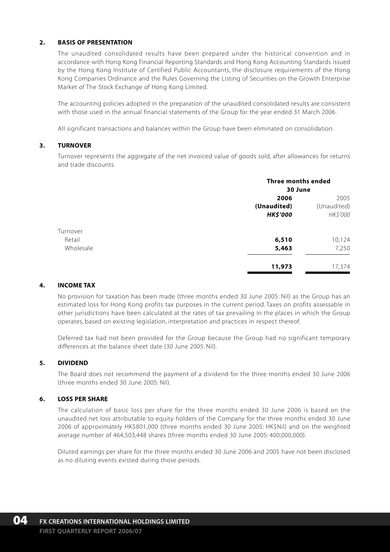#### **2. BASIS OF PRESENTATION**

The unaudited consolidated results have been prepared under the historical convention and in accordance with Hong Kong Financial Reporting Standards and Hong Kong Accounting Standards issued by the Hong Kong Institute of Certified Public Accountants, the disclosure requirements of the Hong Kong Companies Ordinance and the Rules Governing the Listing of Securities on the Growth Enterprise Market of The Stock Exchange of Hong Kong Limited.

The accounting policies adopted in the preparation of the unaudited consolidated results are consistent with those used in the annual financial statements of the Group for the year ended 31 March 2006.

All significant transactions and balances within the Group have been eliminated on consolidation.

#### **3. TURNOVER**

Turnover represents the aggregate of the net invoiced value of goods sold, after allowances for returns and trade discounts.

|           | <b>Three months ended</b> |                 |  |
|-----------|---------------------------|-----------------|--|
|           | 30 June                   |                 |  |
|           | 2006                      | 2005            |  |
|           | (Unaudited)               | (Unaudited)     |  |
|           | <b>HK\$'000</b>           | <b>HK\$'000</b> |  |
| Turnover  |                           |                 |  |
| Retail    | 6,510                     | 10,124          |  |
| Wholesale | 5,463                     | 7,250           |  |
|           | 11,973                    | 17,374          |  |

#### **4. INCOME TAX**

No provision for taxation has been made (three months ended 30 June 2005: Nil) as the Group has an estimated loss for Hong Kong profits tax purposes in the current period. Taxes on profits assessable in other jurisdictions have been calculated at the rates of tax prevailing in the places in which the Group operates, based on existing legislation, interpretation and practices in respect thereof.

Deferred tax had not been provided for the Group because the Group had no significant temporary differences at the balance sheet date (30 June 2005: Nil).

#### **5. DIVIDEND**

The Board does not recommend the payment of a dividend for the three months ended 30 June 2006 (three months ended 30 June 2005: Nil).

#### **6. LOSS PER SHARE**

The calculation of basic loss per share for the three months ended 30 June 2006 is based on the unaudited net loss attributable to equity holders of the Company for the three months ended 30 June 2006 of approximately HK\$801,000 (three months ended 30 June 2005: HK\$Nil) and on the weighted average number of 464,503,448 shares (three months ended 30 June 2005: 400,000,000).

Diluted earnings per share for the three months ended 30 June 2006 and 2005 have not been disclosed as no diluting events existed during those periods.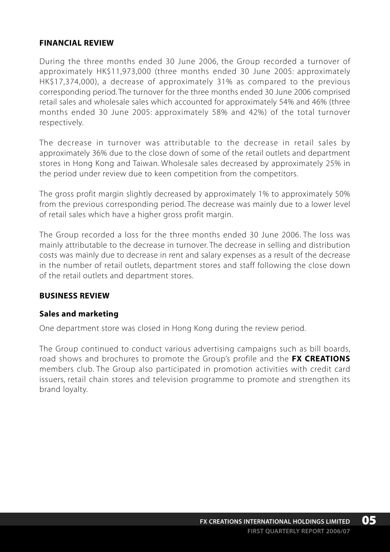## **FINANCIAL REVIEW**

During the three months ended 30 June 2006, the Group recorded a turnover of approximately HK\$11,973,000 (three months ended 30 June 2005: approximately HK\$17,374,000), a decrease of approximately 31% as compared to the previous corresponding period. The turnover for the three months ended 30 June 2006 comprised retail sales and wholesale sales which accounted for approximately 54% and 46% (three months ended 30 June 2005: approximately 58% and 42%) of the total turnover respectively.

The decrease in turnover was attributable to the decrease in retail sales by approximately 36% due to the close down of some of the retail outlets and department stores in Hong Kong and Taiwan. Wholesale sales decreased by approximately 25% in the period under review due to keen competition from the competitors.

The gross profit margin slightly decreased by approximately 1% to approximately 50% from the previous corresponding period. The decrease was mainly due to a lower level of retail sales which have a higher gross profit margin.

The Group recorded a loss for the three months ended 30 June 2006. The loss was mainly attributable to the decrease in turnover. The decrease in selling and distribution costs was mainly due to decrease in rent and salary expenses as a result of the decrease in the number of retail outlets, department stores and staff following the close down of the retail outlets and department stores.

#### **BUSINESS REVIEW**

#### **Sales and marketing**

One department store was closed in Hong Kong during the review period.

The Group continued to conduct various advertising campaigns such as bill boards, road shows and brochures to promote the Group's profile and the **FX CREATIONS** members club. The Group also participated in promotion activities with credit card issuers, retail chain stores and television programme to promote and strengthen its brand loyalty.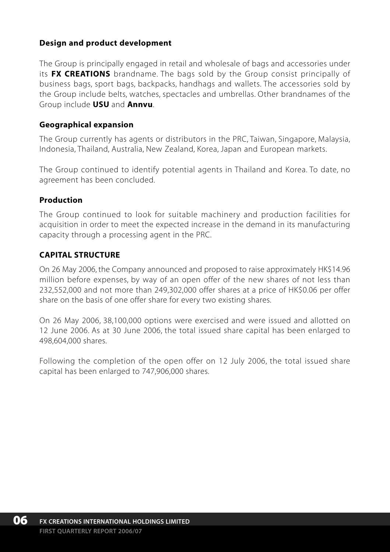# **Design and product development**

The Group is principally engaged in retail and wholesale of bags and accessories under its **FX CREATIONS** brandname. The bags sold by the Group consist principally of business bags, sport bags, backpacks, handhags and wallets. The accessories sold by the Group include belts, watches, spectacles and umbrellas. Other brandnames of the Group include **USU** and **Annvu**.

# **Geographical expansion**

The Group currently has agents or distributors in the PRC, Taiwan, Singapore, Malaysia, Indonesia, Thailand, Australia, New Zealand, Korea, Japan and European markets.

The Group continued to identify potential agents in Thailand and Korea. To date, no agreement has been concluded.

# **Production**

The Group continued to look for suitable machinery and production facilities for acquisition in order to meet the expected increase in the demand in its manufacturing capacity through a processing agent in the PRC.

# **CAPITAL STRUCTURE**

On 26 May 2006, the Company announced and proposed to raise approximately HK\$14.96 million before expenses, by way of an open offer of the new shares of not less than 232,552,000 and not more than 249,302,000 offer shares at a price of HK\$0.06 per offer share on the basis of one offer share for every two existing shares.

On 26 May 2006, 38,100,000 options were exercised and were issued and allotted on 12 June 2006. As at 30 June 2006, the total issued share capital has been enlarged to 498,604,000 shares.

Following the completion of the open offer on 12 July 2006, the total issued share capital has been enlarged to 747,906,000 shares.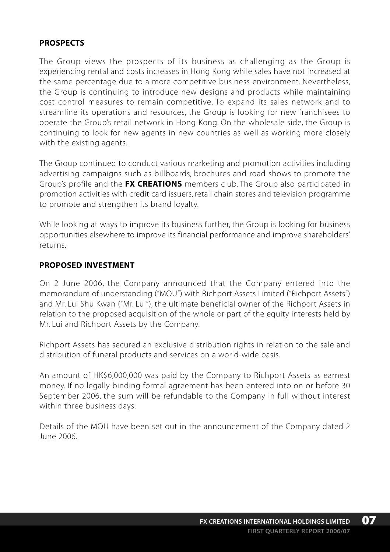# **PROSPECTS**

The Group views the prospects of its business as challenging as the Group is experiencing rental and costs increases in Hong Kong while sales have not increased at the same percentage due to a more competitive business environment. Nevertheless, the Group is continuing to introduce new designs and products while maintaining cost control measures to remain competitive. To expand its sales network and to streamline its operations and resources, the Group is looking for new franchisees to operate the Group's retail network in Hong Kong. On the wholesale side, the Group is continuing to look for new agents in new countries as well as working more closely with the existing agents.

The Group continued to conduct various marketing and promotion activities including advertising campaigns such as billboards, brochures and road shows to promote the Group's profile and the **FX CREATIONS** members club. The Group also participated in promotion activities with credit card issuers, retail chain stores and television programme to promote and strengthen its brand loyalty.

While looking at ways to improve its business further, the Group is looking for business opportunities elsewhere to improve its financial performance and improve shareholders' returns.

## **PROPOSED INVESTMENT**

On 2 June 2006, the Company announced that the Company entered into the memorandum of understanding ("MOU") with Richport Assets Limited ("Richport Assets") and Mr. Lui Shu Kwan ("Mr. Lui"), the ultimate beneficial owner of the Richport Assets in relation to the proposed acquisition of the whole or part of the equity interests held by Mr. Lui and Richport Assets by the Company.

Richport Assets has secured an exclusive distribution rights in relation to the sale and distribution of funeral products and services on a world-wide basis.

An amount of HK\$6,000,000 was paid by the Company to Richport Assets as earnest money. If no legally binding formal agreement has been entered into on or before 30 September 2006, the sum will be refundable to the Company in full without interest within three business days.

Details of the MOU have been set out in the announcement of the Company dated 2 June 2006.

**07**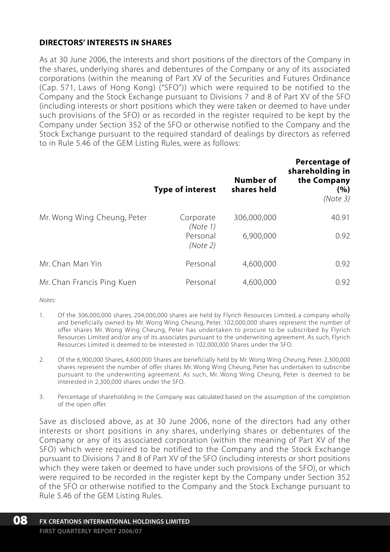## **DIRECTORS' INTERESTS IN SHARES**

As at 30 June 2006, the interests and short positions of the directors of the Company in the shares, underlying shares and debentures of the Company or any of its associated corporations (within the meaning of Part XV of the Securities and Futures Ordinance (Cap. 571, Laws of Hong Kong) ("SFO")) which were required to be notified to the Company and the Stock Exchange pursuant to Divisions 7 and 8 of Part XV of the SFO (including interests or short positions which they were taken or deemed to have under such provisions of the SFO) or as recorded in the register required to be kept by the Company under Section 352 of the SFO or otherwise notified to the Company and the Stock Exchange pursuant to the required standard of dealings by directors as referred to in Rule 5.46 of the GEM Listing Rules, were as follows:

|                             | <b>Type of interest</b> | Number of<br>shares held | Percentage of<br>shareholding in<br>the Company<br>(%)<br>(Note 3) |
|-----------------------------|-------------------------|--------------------------|--------------------------------------------------------------------|
| Mr. Wong Wing Cheung, Peter | Corporate<br>(Note 1)   | 306.000.000              | 40.91                                                              |
|                             | Personal<br>(Note 2)    | 6,900,000                | 0.92                                                               |
| Mr. Chan Man Yin            | Personal                | 4.600.000                | 0.92                                                               |
| Mr. Chan Francis Ping Kuen  | Personal                | 4.600.000                | 0.92                                                               |

*Notes:*

- 1. Of the 306,000,000 shares, 204,000,000 shares are held by Flyrich Resources Limited, a company wholly and beneficially owned by Mr. Wong Wing Cheung, Peter. 102,000,000 shares represent the number of offer shares Mr. Wong Wing Cheung, Peter has undertaken to procure to be subscribed by Flyrich Resources Limited and/or any of its associates pursuant to the underwriting agreement. As such, Flyrich Resources Limited is deemed to be interested in 102,000,000 Shares under the SFO.
- 2. Of the 6,900,000 Shares, 4,600,000 Shares are beneficially held by Mr. Wong Wing Cheung, Peter. 2,300,000 shares represent the number of offer shares Mr. Wong Wing Cheung, Peter has undertaken to subscribe pursuant to the underwriting agreement. As such, Mr. Wong Wing Cheung, Peter is deemed to be interested in 2,300,000 shares under the SFO.
- 3. Percentage of shareholding in the Company was calculated based on the assumption of the completion of the open offer.

Save as disclosed above, as at 30 June 2006, none of the directors had any other interests or short positions in any shares, underlying shares or debentures of the Company or any of its associated corporation (within the meaning of Part XV of the SFO) which were required to be notified to the Company and the Stock Exchange pursuant to Divisions 7 and 8 of Part XV of the SFO (including interests or short positions which they were taken or deemed to have under such provisions of the SFO), or which were required to be recorded in the register kept by the Company under Section 352 of the SFO or otherwise notified to the Company and the Stock Exchange pursuant to Rule 5.46 of the GEM Listing Rules.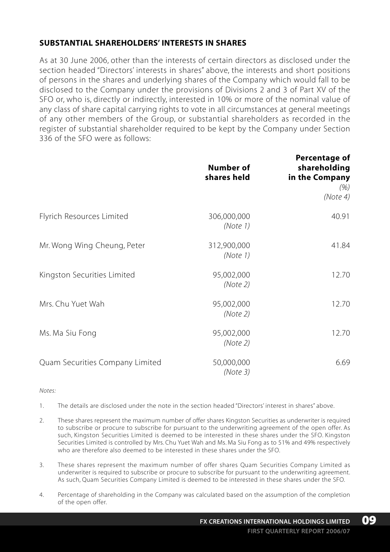# **SUBSTANTIAL SHAREHOLDERS' INTERESTS IN SHARES**

As at 30 June 2006, other than the interests of certain directors as disclosed under the section headed "Directors' interests in shares" above, the interests and short positions of persons in the shares and underlying shares of the Company which would fall to be disclosed to the Company under the provisions of Divisions 2 and 3 of Part XV of the SFO or, who is, directly or indirectly, interested in 10% or more of the nominal value of any class of share capital carrying rights to vote in all circumstances at general meetings of any other members of the Group, or substantial shareholders as recorded in the register of substantial shareholder required to be kept by the Company under Section 336 of the SFO were as follows:

|                                 | Number of<br>shares held | Percentage of<br>shareholding<br>in the Company<br>(%)<br>(Note 4) |
|---------------------------------|--------------------------|--------------------------------------------------------------------|
| Flyrich Resources Limited       | 306,000,000<br>(Note 1)  | 40.91                                                              |
| Mr. Wong Wing Cheung, Peter     | 312,900,000<br>(Note 1)  | 41.84                                                              |
| Kingston Securities Limited     | 95,002,000<br>(Note 2)   | 12.70                                                              |
| Mrs. Chu Yuet Wah               | 95,002,000<br>(Note 2)   | 12.70                                                              |
| Ms. Ma Siu Fong                 | 95,002,000<br>(Note 2)   | 12.70                                                              |
| Quam Securities Company Limited | 50,000,000<br>(Note 3)   | 6.69                                                               |

*Notes:*

1. The details are disclosed under the note in the section headed "Directors' interest in shares" above.

- 2. These shares represent the maximum number of offer shares Kingston Securities as underwriter is required to subscribe or procure to subscribe for pursuant to the underwriting agreement of the open offer. As such, Kingston Securities Limited is deemed to be interested in these shares under the SFO. Kingston Securities Limited is controlled by Mrs. Chu Yuet Wah and Ms. Ma Siu Fong as to 51% and 49% respectively who are therefore also deemed to be interested in these shares under the SFO.
- 3. These shares represent the maximum number of offer shares Quam Securities Company Limited as underwriter is required to subscribe or procure to subscribe for pursuant to the underwriting agreement. As such, Quam Securities Company Limited is deemed to be interested in these shares under the SFO.
- 4. Percentage of shareholding in the Company was calculated based on the assumption of the completion of the open offer.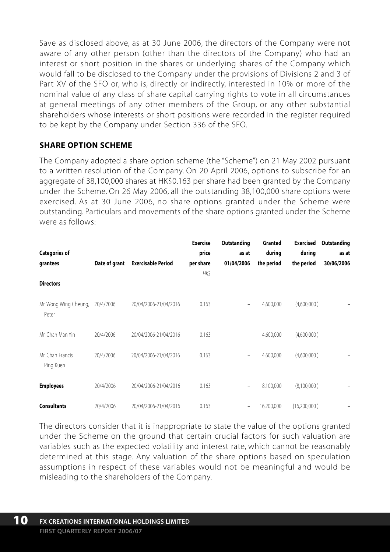Save as disclosed above, as at 30 June 2006, the directors of the Company were not aware of any other person (other than the directors of the Company) who had an interest or short position in the shares or underlying shares of the Company which would fall to be disclosed to the Company under the provisions of Divisions 2 and 3 of Part XV of the SFO or, who is, directly or indirectly, interested in 10% or more of the nominal value of any class of share capital carrying rights to vote in all circumstances at general meetings of any other members of the Group, or any other substantial shareholders whose interests or short positions were recorded in the register required to be kept by the Company under Section 336 of the SFO.

# **SHARE OPTION SCHEME**

The Company adopted a share option scheme (the "Scheme") on 21 May 2002 pursuant to a written resolution of the Company. On 20 April 2006, options to subscribe for an aggregate of 38,100,000 shares at HK\$0.163 per share had been granted by the Company under the Scheme. On 26 May 2006, all the outstanding 38,100,000 share options were exercised. As at 30 June 2006, no share options granted under the Scheme were outstanding. Particulars and movements of the share options granted under the Scheme were as follows:

| <b>Categories of</b><br>grantees<br><b>Directors</b> | Date of grant | <b>Exercisable Period</b> | <b>Exercise</b><br>price<br>per share<br><b>HKS</b> | Outstanding<br>as at<br>01/04/2006 | Granted<br>during<br>the period | Exercised<br>during<br>the period | Outstanding<br>as at<br>30/06/2006 |
|------------------------------------------------------|---------------|---------------------------|-----------------------------------------------------|------------------------------------|---------------------------------|-----------------------------------|------------------------------------|
| Mr. Wong Wing Cheung,<br>Peter                       | 20/4/2006     | 20/04/2006-21/04/2016     | 0.163                                               | $\qquad \qquad -$                  | 4,600,000                       | (4,600,000)                       |                                    |
| Mr. Chan Man Yin                                     | 20/4/2006     | 20/04/2006-21/04/2016     | 0.163                                               | $\qquad \qquad -$                  | 4,600,000                       | (4,600,000)                       |                                    |
| Mr. Chan Francis<br>Ping Kuen                        | 20/4/2006     | 20/04/2006-21/04/2016     | 0.163                                               | $\qquad \qquad -$                  | 4,600,000                       | (4,600,000)                       |                                    |
| <b>Employees</b>                                     | 20/4/2006     | 20/04/2006-21/04/2016     | 0.163                                               | $\qquad \qquad -$                  | 8,100,000                       | (8,100,000)                       |                                    |
| <b>Consultants</b>                                   | 20/4/2006     | 20/04/2006-21/04/2016     | 0.163                                               | $\qquad \qquad -$                  | 16,200,000                      | (16.200.000)                      | -                                  |

The directors consider that it is inappropriate to state the value of the options granted under the Scheme on the ground that certain crucial factors for such valuation are variables such as the expected volatility and interest rate, which cannot be reasonably determined at this stage. Any valuation of the share options based on speculation assumptions in respect of these variables would not be meaningful and would be misleading to the shareholders of the Company.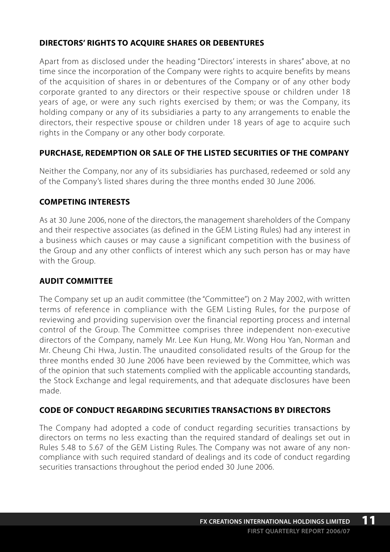# **DIRECTORS' RIGHTS TO ACQUIRE SHARES OR DEBENTURES**

Apart from as disclosed under the heading "Directors' interests in shares" above, at no time since the incorporation of the Company were rights to acquire benefits by means of the acquisition of shares in or debentures of the Company or of any other body corporate granted to any directors or their respective spouse or children under 18 years of age, or were any such rights exercised by them; or was the Company, its holding company or any of its subsidiaries a party to any arrangements to enable the directors, their respective spouse or children under 18 years of age to acquire such rights in the Company or any other body corporate.

# **PURCHASE, REDEMPTION OR SALE OF THE LISTED SECURITIES OF THE COMPANY**

Neither the Company, nor any of its subsidiaries has purchased, redeemed or sold any of the Company's listed shares during the three months ended 30 June 2006.

## **COMPETING INTERESTS**

As at 30 June 2006, none of the directors, the management shareholders of the Company and their respective associates (as defined in the GEM Listing Rules) had any interest in a business which causes or may cause a significant competition with the business of the Group and any other conflicts of interest which any such person has or may have with the Group.

## **AUDIT COMMITTEE**

The Company set up an audit committee (the "Committee") on 2 May 2002, with written terms of reference in compliance with the GEM Listing Rules, for the purpose of reviewing and providing supervision over the financial reporting process and internal control of the Group. The Committee comprises three independent non-executive directors of the Company, namely Mr. Lee Kun Hung, Mr. Wong Hou Yan, Norman and Mr. Cheung Chi Hwa, Justin. The unaudited consolidated results of the Group for the three months ended 30 June 2006 have been reviewed by the Committee, which was of the opinion that such statements complied with the applicable accounting standards, the Stock Exchange and legal requirements, and that adequate disclosures have been made.

# **CODE OF CONDUCT REGARDING SECURITIES TRANSACTIONS BY DIRECTORS**

The Company had adopted a code of conduct regarding securities transactions by directors on terms no less exacting than the required standard of dealings set out in Rules 5.48 to 5.67 of the GEM Listing Rules. The Company was not aware of any noncompliance with such required standard of dealings and its code of conduct regarding securities transactions throughout the period ended 30 June 2006.